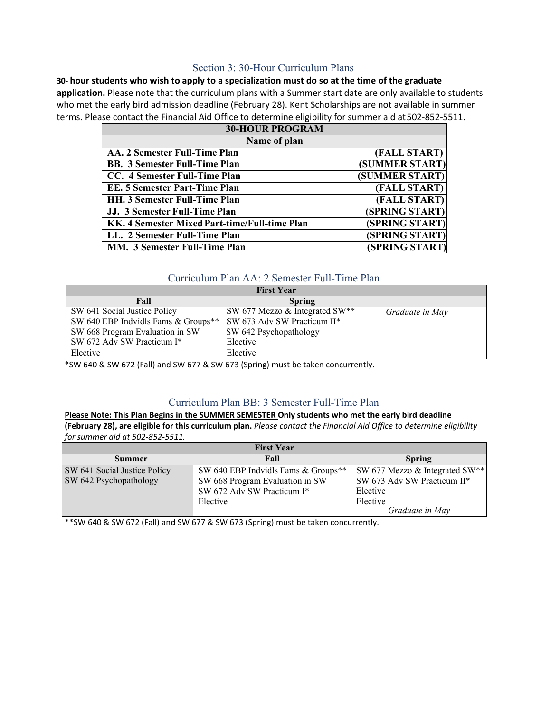# Section 3: 30-Hour Curriculum Plans

**30- hour students who wish to apply to a specialization must do so at the time of the graduate application.** Please note that the curriculum plans with a Summer start date are only available to students who met the early bird admission deadline (February 28). Kent Scholarships are not available in summer terms. Please contact the Financial Aid Office to determine eligibility for summer aid at502-852-5511.

| <b>30-HOUR PROGRAM</b>                        |                |  |
|-----------------------------------------------|----------------|--|
| Name of plan                                  |                |  |
| AA. 2 Semester Full-Time Plan                 | (FALL START)   |  |
| <b>BB. 3 Semester Full-Time Plan</b>          | (SUMMER START) |  |
| CC. 4 Semester Full-Time Plan                 | (SUMMER START) |  |
| EE. 5 Semester Part-Time Plan                 | (FALL START)   |  |
| <b>HH. 3 Semester Full-Time Plan</b>          | (FALL START)   |  |
| JJ. 3 Semester Full-Time Plan                 | (SPRING START) |  |
| KK. 4 Semester Mixed Part-time/Full-time Plan | (SPRING START) |  |
| LL. 2 Semester Full-Time Plan                 | (SPRING START) |  |
| <b>MM. 3 Semester Full-Time Plan</b>          | (SPRING START) |  |

### Curriculum Plan AA: 2 Semester Full-Time Plan

| <b>First Year</b>                   |                                |                 |  |
|-------------------------------------|--------------------------------|-----------------|--|
| Fall                                | <b>Spring</b>                  |                 |  |
| SW 641 Social Justice Policy        | SW 677 Mezzo & Integrated SW** | Graduate in May |  |
| SW 640 EBP Indvidls Fams & Groups** | SW 673 Adv SW Practicum II*    |                 |  |
| SW 668 Program Evaluation in SW     | SW 642 Psychopathology         |                 |  |
| SW 672 Adv SW Practicum I*          | Elective                       |                 |  |
| Elective                            | Elective                       |                 |  |

\*SW 640 & SW 672 (Fall) and SW 677 & SW 673 (Spring) must be taken concurrently.

# Curriculum Plan BB: 3 Semester Full-Time Plan

#### **Please Note: This Plan Begins in the SUMMER SEMESTER Only students who met the early bird deadline (February 28), are eligible for this curriculum plan.** *Please contact the Financial Aid Office to determine eligibility for summer aid at 502-852-5511.*

| <b>First Year</b>            |                                        |                                |  |
|------------------------------|----------------------------------------|--------------------------------|--|
| <b>Summer</b>                | Fall                                   | <b>Spring</b>                  |  |
| SW 641 Social Justice Policy | SW 640 EBP Indvidls Fams & Groups**    | SW 677 Mezzo & Integrated SW** |  |
| SW 642 Psychopathology       | SW 668 Program Evaluation in SW        | SW 673 Adv SW Practicum II*    |  |
|                              | SW 672 Adv SW Practicum I*<br>Elective | Elective<br>Elective           |  |
|                              |                                        | Graduate in May                |  |

\*\*SW 640 & SW 672 (Fall) and SW 677 & SW 673 (Spring) must be taken concurrently.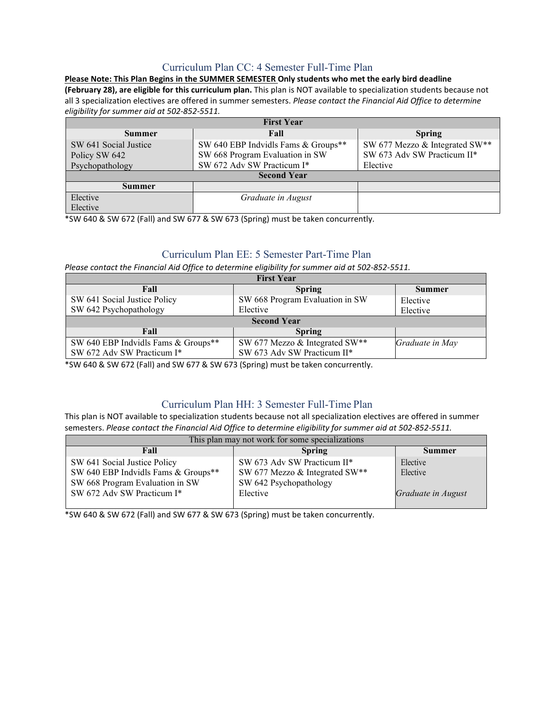# Curriculum Plan CC: 4 Semester Full-Time Plan

**Please Note: This Plan Begins in the SUMMER SEMESTER Only students who met the early bird deadline (February 28), are eligible for this curriculum plan.** This plan is NOT available to specialization students because not all 3 specialization electives are offered in summer semesters. *Please contact the Financial Aid Office to determine eligibility for summer aid at 502-852-5511.*

| <b>First Year</b>     |                                     |                                |  |
|-----------------------|-------------------------------------|--------------------------------|--|
| <b>Summer</b>         | Fall                                | <b>Spring</b>                  |  |
| SW 641 Social Justice | SW 640 EBP Indvidls Fams & Groups** | SW 677 Mezzo & Integrated SW** |  |
| Policy SW 642         | SW 668 Program Evaluation in SW     | SW 673 Adv SW Practicum II*    |  |
| Psychopathology       | SW 672 Adv SW Practicum I*          | Elective                       |  |
| <b>Second Year</b>    |                                     |                                |  |
| Summer                |                                     |                                |  |
| Elective              | Graduate in August                  |                                |  |
| Elective              |                                     |                                |  |

\*SW 640 & SW 672 (Fall) and SW 677 & SW 673 (Spring) must be taken concurrently.

# Curriculum Plan EE: 5 Semester Part-Time Plan

*Please contact the Financial Aid Office to determine eligibility for summer aid at 502-852-5511.*

| <b>First Year</b>                   |                                 |                 |  |
|-------------------------------------|---------------------------------|-----------------|--|
| Fall                                | <b>Spring</b>                   | Summer          |  |
| SW 641 Social Justice Policy        | SW 668 Program Evaluation in SW | Elective        |  |
| SW 642 Psychopathology              | Elective                        | Elective        |  |
| <b>Second Year</b>                  |                                 |                 |  |
| Fall                                | <b>Spring</b>                   |                 |  |
| SW 640 EBP Indvidls Fams & Groups** | SW 677 Mezzo & Integrated SW**  | Graduate in May |  |
| SW 672 Adv SW Practicum I*          | SW 673 Adv SW Practicum II*     |                 |  |

\*SW 640 & SW 672 (Fall) and SW 677 & SW 673 (Spring) must be taken concurrently.

# Curriculum Plan HH: 3 Semester Full-Time Plan

This plan is NOT available to specialization students because not all specialization electives are offered in summer semesters. *Please contact the Financial Aid Office to determine eligibility for summer aid at 502-852-5511.*

| This plan may not work for some specializations |                                |                    |  |
|-------------------------------------------------|--------------------------------|--------------------|--|
| Fall                                            | <b>Spring</b>                  | Summer             |  |
| SW 641 Social Justice Policy                    | SW 673 Adv SW Practicum II*    | Elective           |  |
| SW 640 EBP Indvidls Fams & Groups**             | SW 677 Mezzo & Integrated SW** | Elective           |  |
| SW 668 Program Evaluation in SW                 | SW 642 Psychopathology         |                    |  |
| SW 672 Adv SW Practicum I*                      | Elective                       | Graduate in August |  |
|                                                 |                                |                    |  |

\*SW 640 & SW 672 (Fall) and SW 677 & SW 673 (Spring) must be taken concurrently.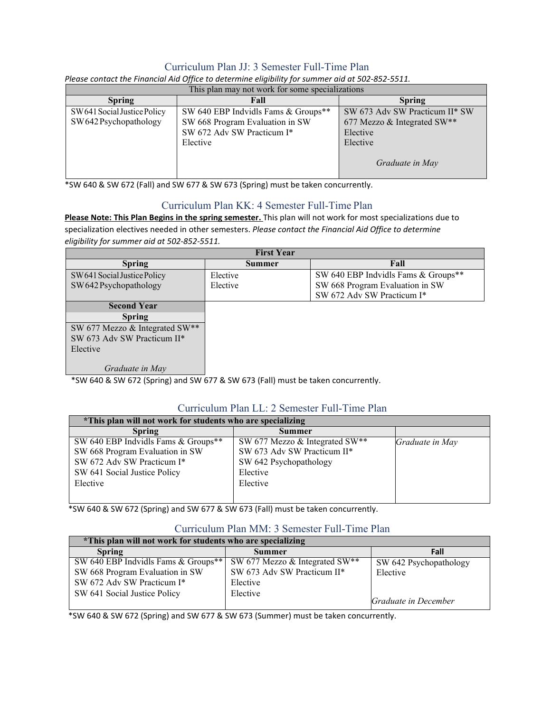# Curriculum Plan JJ: 3 Semester Full-Time Plan

| This plan may not work for some specializations |                                     |                                |  |
|-------------------------------------------------|-------------------------------------|--------------------------------|--|
| <b>Spring</b>                                   | Fall                                | <b>Spring</b>                  |  |
| SW 641 Social Justice Policy                    | SW 640 EBP Indvidls Fams & Groups** | SW 673 Adv SW Practicum II* SW |  |
| SW 642 Psychopathology                          | SW 668 Program Evaluation in SW     | 677 Mezzo & Integrated $SW**$  |  |
|                                                 | SW 672 Adv SW Practicum I*          | Elective                       |  |
|                                                 | Elective                            | Elective                       |  |
|                                                 |                                     | Graduate in May                |  |

*Please contact the Financial Aid Office to determine eligibility for summer aid at 502-852-5511.*

\*SW 640 & SW 672 (Fall) and SW 677 & SW 673 (Spring) must be taken concurrently.

### Curriculum Plan KK: 4 Semester Full-Time Plan

**Please Note: This Plan Begins in the spring semester.** This plan will not work for most specializations due to specialization electives needed in other semesters. *Please contact the Financial Aid Office to determine eligibility for summer aid at 502-852-5511.*

| <b>First Year</b>              |          |                                     |  |
|--------------------------------|----------|-------------------------------------|--|
| <b>Spring</b>                  | Summer   | Fall                                |  |
| SW 641 Social Justice Policy   | Elective | SW 640 EBP Indvidls Fams & Groups** |  |
| SW 642 Psychopathology         | Elective | SW 668 Program Evaluation in SW     |  |
|                                |          | SW 672 Adv SW Practicum I*          |  |
| <b>Second Year</b>             |          |                                     |  |
| <b>Spring</b>                  |          |                                     |  |
| SW 677 Mezzo & Integrated SW** |          |                                     |  |
| SW 673 Adv SW Practicum II*    |          |                                     |  |
| Elective                       |          |                                     |  |
|                                |          |                                     |  |
| Graduate in May                |          |                                     |  |

\*SW 640 & SW 672 (Spring) and SW 677 & SW 673 (Fall) must be taken concurrently.

### Curriculum Plan LL: 2 Semester Full-Time Plan

| *This plan will not work for students who are specializing |                                |                 |
|------------------------------------------------------------|--------------------------------|-----------------|
| <b>Spring</b>                                              | <b>Summer</b>                  |                 |
| SW 640 EBP Indvidls Fams & Groups**                        | SW 677 Mezzo & Integrated SW** | Graduate in May |
| SW 668 Program Evaluation in SW                            | SW 673 Adv SW Practicum II*    |                 |
| SW 672 Adv SW Practicum I*                                 | SW 642 Psychopathology         |                 |
| SW 641 Social Justice Policy                               | Elective                       |                 |
| Elective                                                   | Elective                       |                 |
|                                                            |                                |                 |

\*SW 640 & SW 672 (Spring) and SW 677 & SW 673 (Fall) must be taken concurrently.

# Curriculum Plan MM: 3 Semester Full-Time Plan

| *This plan will not work for students who are specializing |                                |                        |  |
|------------------------------------------------------------|--------------------------------|------------------------|--|
| <b>Spring</b>                                              | <b>Summer</b>                  | Fall                   |  |
| SW 640 EBP Indvidls Fams & Groups**                        | SW 677 Mezzo & Integrated SW** | SW 642 Psychopathology |  |
| SW 668 Program Evaluation in SW                            | SW 673 Adv SW Practicum II*    | Elective               |  |
| SW 672 Adv SW Practicum I*                                 | Elective                       |                        |  |
| SW 641 Social Justice Policy                               | Elective                       |                        |  |
|                                                            |                                | Graduate in December   |  |

\*SW 640 & SW 672 (Spring) and SW 677 & SW 673 (Summer) must be taken concurrently.